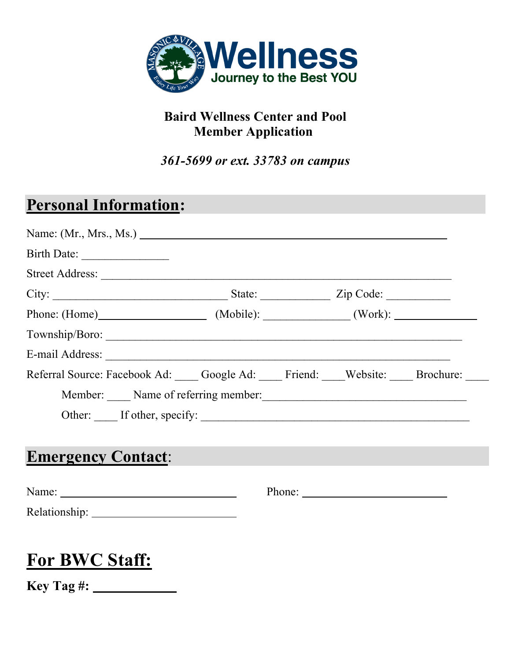

### **Baird Wellness Center and Pool Member Application**

*361-5699 or ext. 33783 on campus*

## **Personal Information:**

| Phone: (Home) (Mobile): (Work): (Work):                                 |
|-------------------------------------------------------------------------|
|                                                                         |
|                                                                         |
|                                                                         |
|                                                                         |
|                                                                         |
|                                                                         |
| Referral Source: Facebook Ad: Google Ad: Friend: Website: Brochure: ___ |
| Member: Name of referring member:                                       |
| Other: If other, specify:                                               |
|                                                                         |

## **Emergency Contact**:

| Name:         | Phone: |
|---------------|--------|
| Relationship: |        |

# **For BWC Staff:**

**Key Tag #:**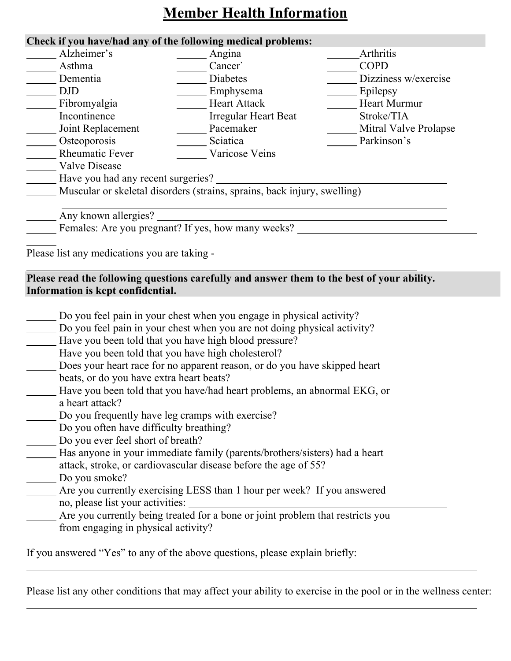## **Member Health Information**

#### **Check if you have/had any of the following medical problems:**

| Alzheimer's                                  | Angina                                                                   | Arthritis             |  |
|----------------------------------------------|--------------------------------------------------------------------------|-----------------------|--|
| Asthma                                       | Cancer`                                                                  | <b>COPD</b>           |  |
| Dementia                                     | Diabetes                                                                 | Dizziness w/exercise  |  |
| <b>DJD</b>                                   | Emphysema                                                                | Epilepsy              |  |
| Fibromyalgia                                 | <b>Heart Attack</b>                                                      | <b>Heart Murmur</b>   |  |
| Incontinence                                 | Irregular Heart Beat                                                     | Stroke/TIA            |  |
| Joint Replacement                            | Pacemaker                                                                | Mitral Valve Prolapse |  |
| Osteoporosis                                 | Sciatica                                                                 | Parkinson's           |  |
| <b>Rheumatic Fever</b>                       | Varicose Veins                                                           |                       |  |
| <b>Valve Disease</b>                         |                                                                          |                       |  |
| Have you had any recent surgeries?           |                                                                          |                       |  |
|                                              | Muscular or skeletal disorders (strains, sprains, back injury, swelling) |                       |  |
| Any known allergies?                         | Females: Are you pregnant? If yes, how many weeks?                       |                       |  |
|                                              |                                                                          |                       |  |
| Please list any medications you are taking - |                                                                          |                       |  |

#### **Please read the following questions carefully and answer them to the best of your ability. Information is kept confidential.**

| Do you feel pain in your chest when you engage in physical activity?           |
|--------------------------------------------------------------------------------|
| Do you feel pain in your chest when you are not doing physical activity?       |
| Have you been told that you have high blood pressure?                          |
| Have you been told that you have high cholesterol?                             |
| Does your heart race for no apparent reason, or do you have skipped heart      |
| beats, or do you have extra heart beats?                                       |
| Have you been told that you have/had heart problems, an abnormal EKG, or       |
| a heart attack?                                                                |
| Do you frequently have leg cramps with exercise?                               |
| Do you often have difficulty breathing?                                        |
| Do you ever feel short of breath?                                              |
| Has anyone in your immediate family (parents/brothers/sisters) had a heart     |
| attack, stroke, or cardiovascular disease before the age of 55?                |
| Do you smoke?                                                                  |
| Are you currently exercising LESS than 1 hour per week? If you answered        |
| no, please list your activities:                                               |
| Are you currently being treated for a bone or joint problem that restricts you |
| from engaging in physical activity?                                            |
|                                                                                |
| If you answered "Yes" to any of the above questions, please explain briefly:   |

Please list any other conditions that may affect your ability to exercise in the pool or in the wellness center: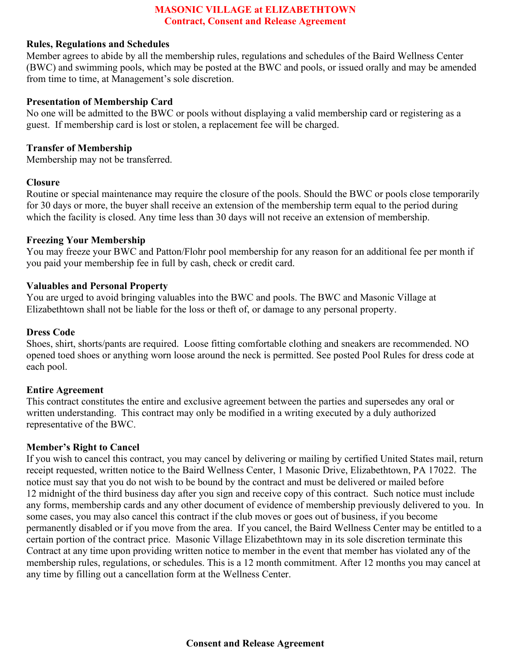#### **MASONIC VILLAGE at ELIZABETHTOWN Contract, Consent and Release Agreement**

#### **Rules, Regulations and Schedules**

Member agrees to abide by all the membership rules, regulations and schedules of the Baird Wellness Center (BWC) and swimming pools, which may be posted at the BWC and pools, or issued orally and may be amended from time to time, at Management's sole discretion.

#### **Presentation of Membership Card**

No one will be admitted to the BWC or pools without displaying a valid membership card or registering as a guest. If membership card is lost or stolen, a replacement fee will be charged.

#### **Transfer of Membership**

Membership may not be transferred.

#### **Closure**

Routine or special maintenance may require the closure of the pools. Should the BWC or pools close temporarily for 30 days or more, the buyer shall receive an extension of the membership term equal to the period during which the facility is closed. Any time less than 30 days will not receive an extension of membership.

#### **Freezing Your Membership**

You may freeze your BWC and Patton/Flohr pool membership for any reason for an additional fee per month if you paid your membership fee in full by cash, check or credit card.

#### **Valuables and Personal Property**

You are urged to avoid bringing valuables into the BWC and pools. The BWC and Masonic Village at Elizabethtown shall not be liable for the loss or theft of, or damage to any personal property.

#### **Dress Code**

Shoes, shirt, shorts/pants are required. Loose fitting comfortable clothing and sneakers are recommended. NO opened toed shoes or anything worn loose around the neck is permitted. See posted Pool Rules for dress code at each pool.

#### **Entire Agreement**

This contract constitutes the entire and exclusive agreement between the parties and supersedes any oral or written understanding. This contract may only be modified in a writing executed by a duly authorized representative of the BWC.

#### **Member's Right to Cancel**

If you wish to cancel this contract, you may cancel by delivering or mailing by certified United States mail, return receipt requested, written notice to the Baird Wellness Center, 1 Masonic Drive, Elizabethtown, PA 17022. The notice must say that you do not wish to be bound by the contract and must be delivered or mailed before 12 midnight of the third business day after you sign and receive copy of this contract. Such notice must include any forms, membership cards and any other document of evidence of membership previously delivered to you. In some cases, you may also cancel this contract if the club moves or goes out of business, if you become permanently disabled or if you move from the area. If you cancel, the Baird Wellness Center may be entitled to a certain portion of the contract price. Masonic Village Elizabethtown may in its sole discretion terminate this Contract at any time upon providing written notice to member in the event that member has violated any of the membership rules, regulations, or schedules. This is a 12 month commitment. After 12 months you may cancel at any time by filling out a cancellation form at the Wellness Center.